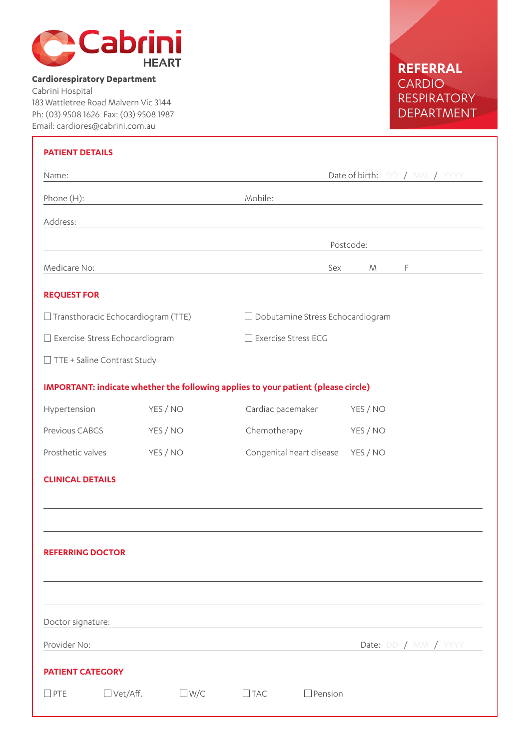

## **Cardiorespiratory Department**

Cabrini Hospital 183 Wattletree Road Malvern Vic 3144 Ph: (03) 9508 1626 Fax: (03) 9508 1987 Email: cardiores@cabrini.com.au

## **REFERRAL** CARDIO RESPIRATORY DEPARTMENT

| <b>PATIENT DETAILS</b>                |                                                                                   |            |                                         |                       |                 |                      |  |
|---------------------------------------|-----------------------------------------------------------------------------------|------------|-----------------------------------------|-----------------------|-----------------|----------------------|--|
| Name:                                 |                                                                                   |            | Date of birth: DD / MM / YYYY           |                       |                 |                      |  |
| Phone (H):                            |                                                                                   |            | Mobile:                                 |                       |                 |                      |  |
| Address:                              |                                                                                   |            |                                         |                       |                 |                      |  |
|                                       |                                                                                   |            |                                         | Postcode:             |                 |                      |  |
| Medicare No:                          |                                                                                   |            |                                         | Sex                   | ${\mathcal{M}}$ | F                    |  |
| <b>REQUEST FOR</b>                    |                                                                                   |            |                                         |                       |                 |                      |  |
|                                       | $\Box$ Transthoracic Echocardiogram (TTE)                                         |            |                                         |                       |                 |                      |  |
|                                       |                                                                                   |            | $\Box$ Dobutamine Stress Echocardiogram |                       |                 |                      |  |
| $\Box$ Exercise Stress Echocardiogram |                                                                                   |            |                                         | □ Exercise Stress ECG |                 |                      |  |
|                                       | TTE + Saline Contrast Study                                                       |            |                                         |                       |                 |                      |  |
|                                       | IMPORTANT: indicate whether the following applies to your patient (please circle) |            |                                         |                       |                 |                      |  |
| Hypertension                          |                                                                                   | YES / NO   | Cardiac pacemaker                       |                       | YES / NO        |                      |  |
| Previous CABGS                        |                                                                                   | YES / NO   | Chemotherapy                            |                       | YES / NO        |                      |  |
| Prosthetic valves                     |                                                                                   | YES / NO   | Congenital heart disease                |                       | YES / NO        |                      |  |
| <b>CLINICAL DETAILS</b>               |                                                                                   |            |                                         |                       |                 |                      |  |
|                                       |                                                                                   |            |                                         |                       |                 |                      |  |
|                                       |                                                                                   |            |                                         |                       |                 |                      |  |
| <b>REFERRING DOCTOR</b>               |                                                                                   |            |                                         |                       |                 |                      |  |
|                                       |                                                                                   |            |                                         |                       |                 |                      |  |
|                                       |                                                                                   |            |                                         |                       |                 |                      |  |
| Doctor signature:                     |                                                                                   |            |                                         |                       |                 |                      |  |
| Provider No:                          |                                                                                   |            |                                         |                       |                 | Date: DD / MM / YYYY |  |
| <b>PATIENT CATEGORY</b>               |                                                                                   |            |                                         |                       |                 |                      |  |
| $\square$ PTE                         | $\Box$ Vet/Aff.                                                                   | $\Box$ W/C | $\Box$ TAC                              | $\Box$ Pension        |                 |                      |  |